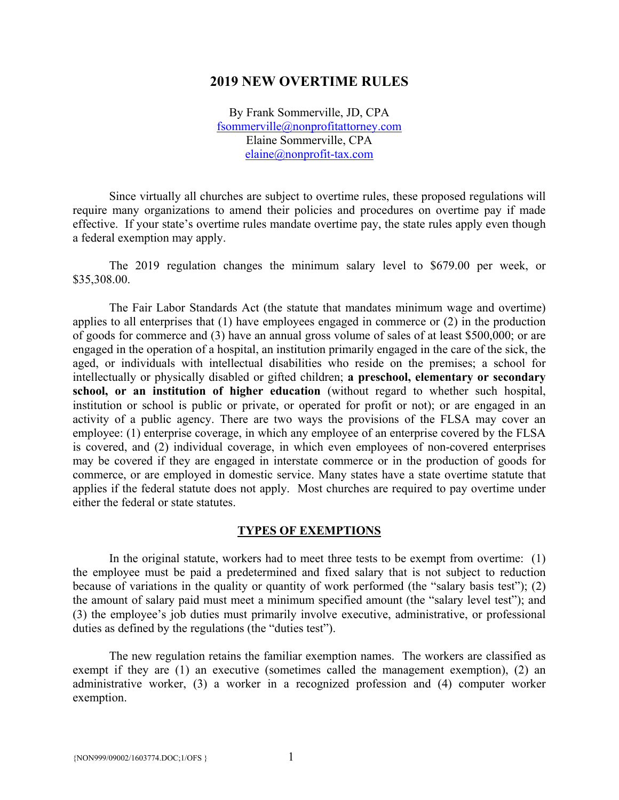#### **2019 NEW OVERTIME RULES**

By Frank Sommerville, JD, CPA fsommerville@nonprofitattorney.com Elaine Sommerville, CPA elaine@nonprofit-tax.com

 Since virtually all churches are subject to overtime rules, these proposed regulations will require many organizations to amend their policies and procedures on overtime pay if made effective. If your state's overtime rules mandate overtime pay, the state rules apply even though a federal exemption may apply.

 The 2019 regulation changes the minimum salary level to \$679.00 per week, or \$35,308.00.

 The Fair Labor Standards Act (the statute that mandates minimum wage and overtime) applies to all enterprises that (1) have employees engaged in commerce or (2) in the production of goods for commerce and (3) have an annual gross volume of sales of at least \$500,000; or are engaged in the operation of a hospital, an institution primarily engaged in the care of the sick, the aged, or individuals with intellectual disabilities who reside on the premises; a school for intellectually or physically disabled or gifted children; **a preschool, elementary or secondary school, or an institution of higher education** (without regard to whether such hospital, institution or school is public or private, or operated for profit or not); or are engaged in an activity of a public agency. There are two ways the provisions of the FLSA may cover an employee: (1) enterprise coverage, in which any employee of an enterprise covered by the FLSA is covered, and (2) individual coverage, in which even employees of non-covered enterprises may be covered if they are engaged in interstate commerce or in the production of goods for commerce, or are employed in domestic service. Many states have a state overtime statute that applies if the federal statute does not apply. Most churches are required to pay overtime under either the federal or state statutes.

#### **TYPES OF EXEMPTIONS**

 In the original statute, workers had to meet three tests to be exempt from overtime: (1) the employee must be paid a predetermined and fixed salary that is not subject to reduction because of variations in the quality or quantity of work performed (the "salary basis test"); (2) the amount of salary paid must meet a minimum specified amount (the "salary level test"); and (3) the employee's job duties must primarily involve executive, administrative, or professional duties as defined by the regulations (the "duties test").

 The new regulation retains the familiar exemption names. The workers are classified as exempt if they are (1) an executive (sometimes called the management exemption), (2) an administrative worker, (3) a worker in a recognized profession and (4) computer worker exemption.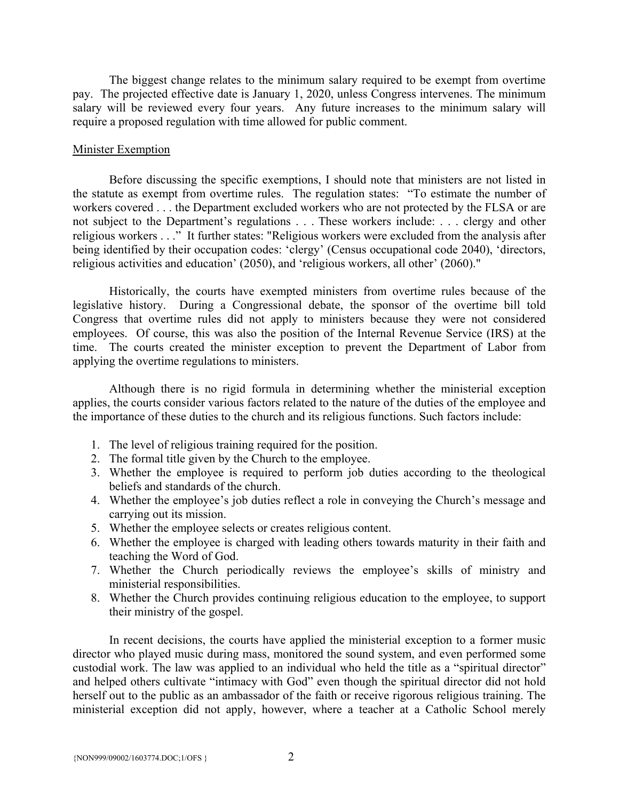The biggest change relates to the minimum salary required to be exempt from overtime pay. The projected effective date is January 1, 2020, unless Congress intervenes. The minimum salary will be reviewed every four years. Any future increases to the minimum salary will require a proposed regulation with time allowed for public comment.

#### Minister Exemption

 Before discussing the specific exemptions, I should note that ministers are not listed in the statute as exempt from overtime rules. The regulation states: "To estimate the number of workers covered . . . the Department excluded workers who are not protected by the FLSA or are not subject to the Department's regulations . . . These workers include: . . . clergy and other religious workers . . ." It further states: "Religious workers were excluded from the analysis after being identified by their occupation codes: 'clergy' (Census occupational code 2040), 'directors, religious activities and education' (2050), and 'religious workers, all other' (2060)."

 Historically, the courts have exempted ministers from overtime rules because of the legislative history. During a Congressional debate, the sponsor of the overtime bill told Congress that overtime rules did not apply to ministers because they were not considered employees. Of course, this was also the position of the Internal Revenue Service (IRS) at the time. The courts created the minister exception to prevent the Department of Labor from applying the overtime regulations to ministers.

 Although there is no rigid formula in determining whether the ministerial exception applies, the courts consider various factors related to the nature of the duties of the employee and the importance of these duties to the church and its religious functions. Such factors include:

- 1. The level of religious training required for the position.
- 2. The formal title given by the Church to the employee.
- 3. Whether the employee is required to perform job duties according to the theological beliefs and standards of the church.
- 4. Whether the employee's job duties reflect a role in conveying the Church's message and carrying out its mission.
- 5. Whether the employee selects or creates religious content.
- 6. Whether the employee is charged with leading others towards maturity in their faith and teaching the Word of God.
- 7. Whether the Church periodically reviews the employee's skills of ministry and ministerial responsibilities.
- 8. Whether the Church provides continuing religious education to the employee, to support their ministry of the gospel.

 In recent decisions, the courts have applied the ministerial exception to a former music director who played music during mass, monitored the sound system, and even performed some custodial work. The law was applied to an individual who held the title as a "spiritual director" and helped others cultivate "intimacy with God" even though the spiritual director did not hold herself out to the public as an ambassador of the faith or receive rigorous religious training. The ministerial exception did not apply, however, where a teacher at a Catholic School merely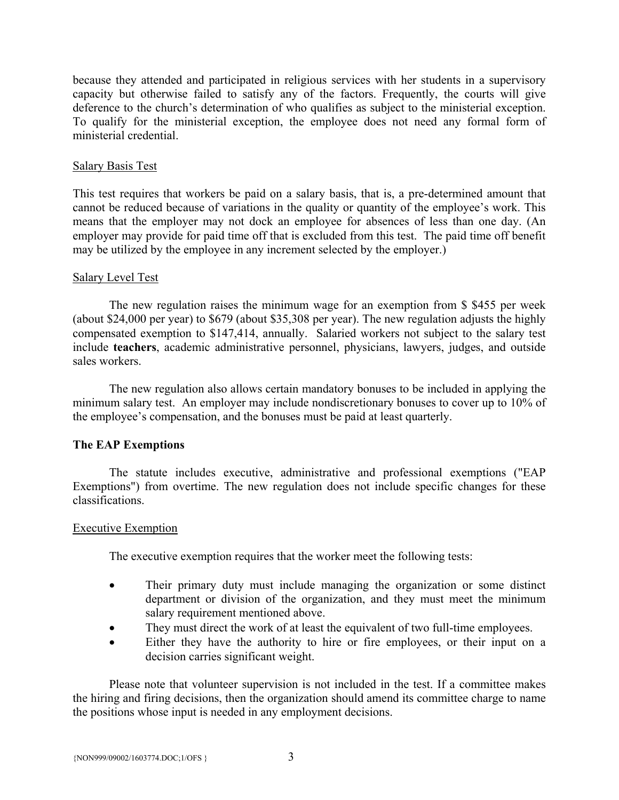because they attended and participated in religious services with her students in a supervisory capacity but otherwise failed to satisfy any of the factors. Frequently, the courts will give deference to the church's determination of who qualifies as subject to the ministerial exception. To qualify for the ministerial exception, the employee does not need any formal form of ministerial credential.

## Salary Basis Test

This test requires that workers be paid on a salary basis, that is, a pre-determined amount that cannot be reduced because of variations in the quality or quantity of the employee's work. This means that the employer may not dock an employee for absences of less than one day. (An employer may provide for paid time off that is excluded from this test. The paid time off benefit may be utilized by the employee in any increment selected by the employer.)

# Salary Level Test

 The new regulation raises the minimum wage for an exemption from \$ \$455 per week (about \$24,000 per year) to \$679 (about \$35,308 per year). The new regulation adjusts the highly compensated exemption to \$147,414, annually. Salaried workers not subject to the salary test include **teachers**, academic administrative personnel, physicians, lawyers, judges, and outside sales workers.

 The new regulation also allows certain mandatory bonuses to be included in applying the minimum salary test. An employer may include nondiscretionary bonuses to cover up to 10% of the employee's compensation, and the bonuses must be paid at least quarterly.

# **The EAP Exemptions**

 The statute includes executive, administrative and professional exemptions ("EAP Exemptions") from overtime. The new regulation does not include specific changes for these classifications.

## Executive Exemption

The executive exemption requires that the worker meet the following tests:

- Their primary duty must include managing the organization or some distinct department or division of the organization, and they must meet the minimum salary requirement mentioned above.
- They must direct the work of at least the equivalent of two full-time employees.
- Either they have the authority to hire or fire employees, or their input on a decision carries significant weight.

 Please note that volunteer supervision is not included in the test. If a committee makes the hiring and firing decisions, then the organization should amend its committee charge to name the positions whose input is needed in any employment decisions.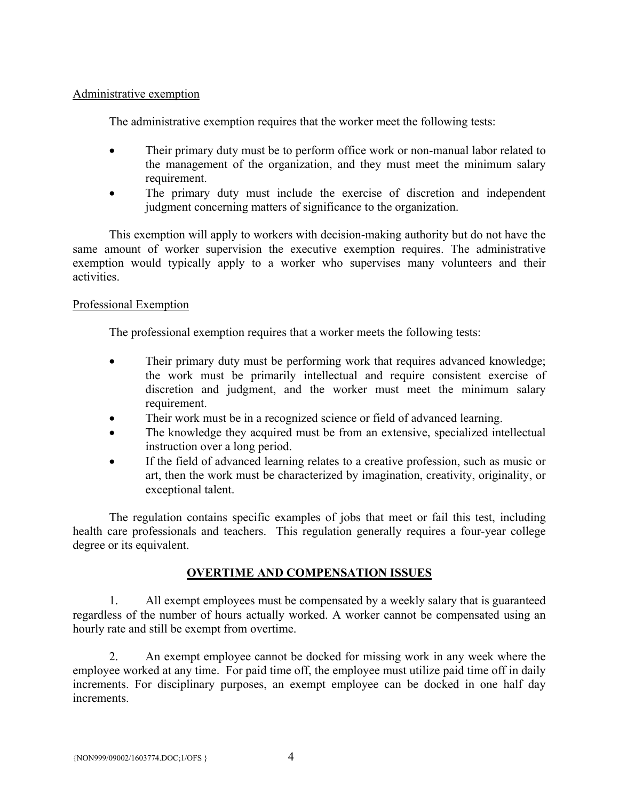# Administrative exemption

The administrative exemption requires that the worker meet the following tests:

- Their primary duty must be to perform office work or non-manual labor related to the management of the organization, and they must meet the minimum salary requirement.
- The primary duty must include the exercise of discretion and independent judgment concerning matters of significance to the organization.

 This exemption will apply to workers with decision-making authority but do not have the same amount of worker supervision the executive exemption requires. The administrative exemption would typically apply to a worker who supervises many volunteers and their activities.

# Professional Exemption

The professional exemption requires that a worker meets the following tests:

- Their primary duty must be performing work that requires advanced knowledge; the work must be primarily intellectual and require consistent exercise of discretion and judgment, and the worker must meet the minimum salary requirement.
- Their work must be in a recognized science or field of advanced learning.
- The knowledge they acquired must be from an extensive, specialized intellectual instruction over a long period.
- If the field of advanced learning relates to a creative profession, such as music or art, then the work must be characterized by imagination, creativity, originality, or exceptional talent.

 The regulation contains specific examples of jobs that meet or fail this test, including health care professionals and teachers. This regulation generally requires a four-year college degree or its equivalent.

# **OVERTIME AND COMPENSATION ISSUES**

 1. All exempt employees must be compensated by a weekly salary that is guaranteed regardless of the number of hours actually worked. A worker cannot be compensated using an hourly rate and still be exempt from overtime.

 2. An exempt employee cannot be docked for missing work in any week where the employee worked at any time. For paid time off, the employee must utilize paid time off in daily increments. For disciplinary purposes, an exempt employee can be docked in one half day increments.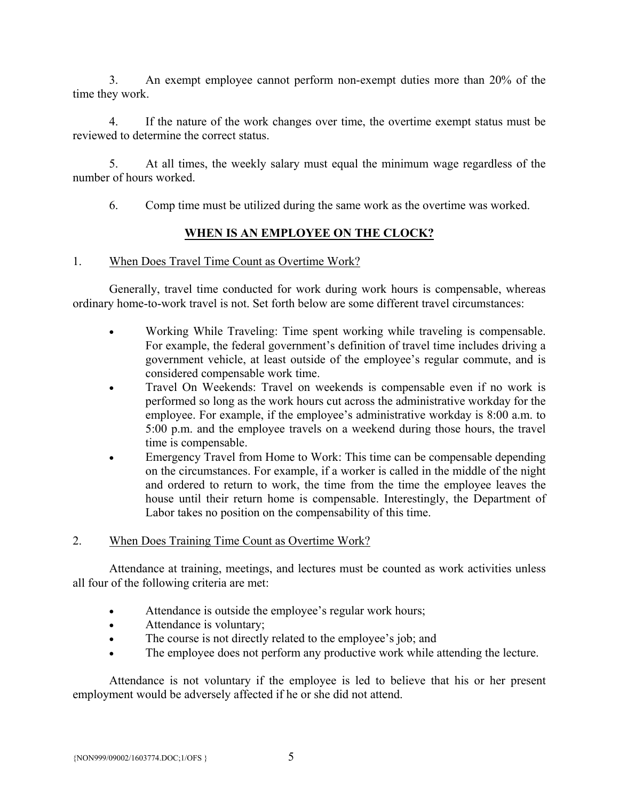3. An exempt employee cannot perform non-exempt duties more than 20% of the time they work.

 4. If the nature of the work changes over time, the overtime exempt status must be reviewed to determine the correct status.

 5. At all times, the weekly salary must equal the minimum wage regardless of the number of hours worked.

6. Comp time must be utilized during the same work as the overtime was worked.

# **WHEN IS AN EMPLOYEE ON THE CLOCK?**

## 1. When Does Travel Time Count as Overtime Work?

 Generally, travel time conducted for work during work hours is compensable, whereas ordinary home-to-work travel is not. Set forth below are some different travel circumstances:

- Working While Traveling: Time spent working while traveling is compensable. For example, the federal government's definition of travel time includes driving a government vehicle, at least outside of the employee's regular commute, and is considered compensable work time.
- Travel On Weekends: Travel on weekends is compensable even if no work is performed so long as the work hours cut across the administrative workday for the employee. For example, if the employee's administrative workday is 8:00 a.m. to 5:00 p.m. and the employee travels on a weekend during those hours, the travel time is compensable.
- Emergency Travel from Home to Work: This time can be compensable depending on the circumstances. For example, if a worker is called in the middle of the night and ordered to return to work, the time from the time the employee leaves the house until their return home is compensable. Interestingly, the Department of Labor takes no position on the compensability of this time.

## 2. When Does Training Time Count as Overtime Work?

 Attendance at training, meetings, and lectures must be counted as work activities unless all four of the following criteria are met:

- Attendance is outside the employee's regular work hours;
- Attendance is voluntary;
- The course is not directly related to the employee's job; and
- The employee does not perform any productive work while attending the lecture.

 Attendance is not voluntary if the employee is led to believe that his or her present employment would be adversely affected if he or she did not attend.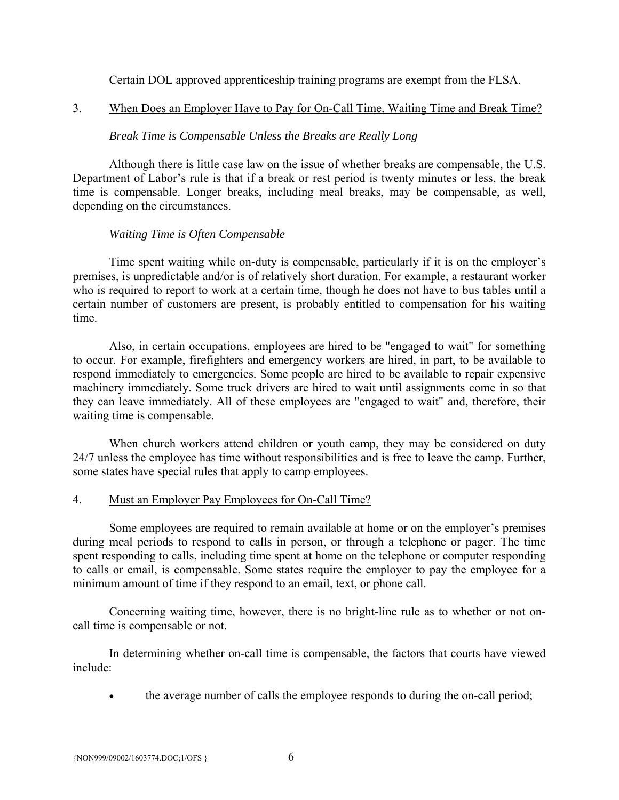Certain DOL approved apprenticeship training programs are exempt from the FLSA.

# 3. When Does an Employer Have to Pay for On-Call Time, Waiting Time and Break Time?

# *Break Time is Compensable Unless the Breaks are Really Long*

 Although there is little case law on the issue of whether breaks are compensable, the U.S. Department of Labor's rule is that if a break or rest period is twenty minutes or less, the break time is compensable. Longer breaks, including meal breaks, may be compensable, as well, depending on the circumstances.

# *Waiting Time is Often Compensable*

 Time spent waiting while on-duty is compensable, particularly if it is on the employer's premises, is unpredictable and/or is of relatively short duration. For example, a restaurant worker who is required to report to work at a certain time, though he does not have to bus tables until a certain number of customers are present, is probably entitled to compensation for his waiting time.

 Also, in certain occupations, employees are hired to be "engaged to wait" for something to occur. For example, firefighters and emergency workers are hired, in part, to be available to respond immediately to emergencies. Some people are hired to be available to repair expensive machinery immediately. Some truck drivers are hired to wait until assignments come in so that they can leave immediately. All of these employees are "engaged to wait" and, therefore, their waiting time is compensable.

 When church workers attend children or youth camp, they may be considered on duty 24/7 unless the employee has time without responsibilities and is free to leave the camp. Further, some states have special rules that apply to camp employees.

## 4. Must an Employer Pay Employees for On-Call Time?

 Some employees are required to remain available at home or on the employer's premises during meal periods to respond to calls in person, or through a telephone or pager. The time spent responding to calls, including time spent at home on the telephone or computer responding to calls or email, is compensable. Some states require the employer to pay the employee for a minimum amount of time if they respond to an email, text, or phone call.

Concerning waiting time, however, there is no bright-line rule as to whether or not oncall time is compensable or not.

 In determining whether on-call time is compensable, the factors that courts have viewed include:

the average number of calls the employee responds to during the on-call period;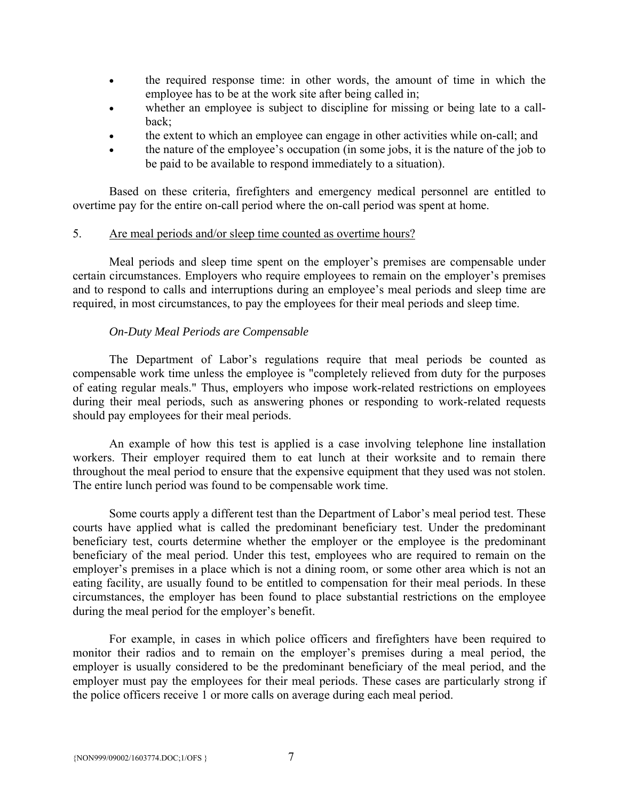- the required response time: in other words, the amount of time in which the employee has to be at the work site after being called in;
- whether an employee is subject to discipline for missing or being late to a callback;
- the extent to which an employee can engage in other activities while on-call; and
- the nature of the employee's occupation (in some jobs, it is the nature of the job to be paid to be available to respond immediately to a situation).

 Based on these criteria, firefighters and emergency medical personnel are entitled to overtime pay for the entire on-call period where the on-call period was spent at home.

#### 5. Are meal periods and/or sleep time counted as overtime hours?

 Meal periods and sleep time spent on the employer's premises are compensable under certain circumstances. Employers who require employees to remain on the employer's premises and to respond to calls and interruptions during an employee's meal periods and sleep time are required, in most circumstances, to pay the employees for their meal periods and sleep time.

## *On-Duty Meal Periods are Compensable*

 The Department of Labor's regulations require that meal periods be counted as compensable work time unless the employee is "completely relieved from duty for the purposes of eating regular meals." Thus, employers who impose work-related restrictions on employees during their meal periods, such as answering phones or responding to work-related requests should pay employees for their meal periods.

 An example of how this test is applied is a case involving telephone line installation workers. Their employer required them to eat lunch at their worksite and to remain there throughout the meal period to ensure that the expensive equipment that they used was not stolen. The entire lunch period was found to be compensable work time.

 Some courts apply a different test than the Department of Labor's meal period test. These courts have applied what is called the predominant beneficiary test. Under the predominant beneficiary test, courts determine whether the employer or the employee is the predominant beneficiary of the meal period. Under this test, employees who are required to remain on the employer's premises in a place which is not a dining room, or some other area which is not an eating facility, are usually found to be entitled to compensation for their meal periods. In these circumstances, the employer has been found to place substantial restrictions on the employee during the meal period for the employer's benefit.

 For example, in cases in which police officers and firefighters have been required to monitor their radios and to remain on the employer's premises during a meal period, the employer is usually considered to be the predominant beneficiary of the meal period, and the employer must pay the employees for their meal periods. These cases are particularly strong if the police officers receive 1 or more calls on average during each meal period.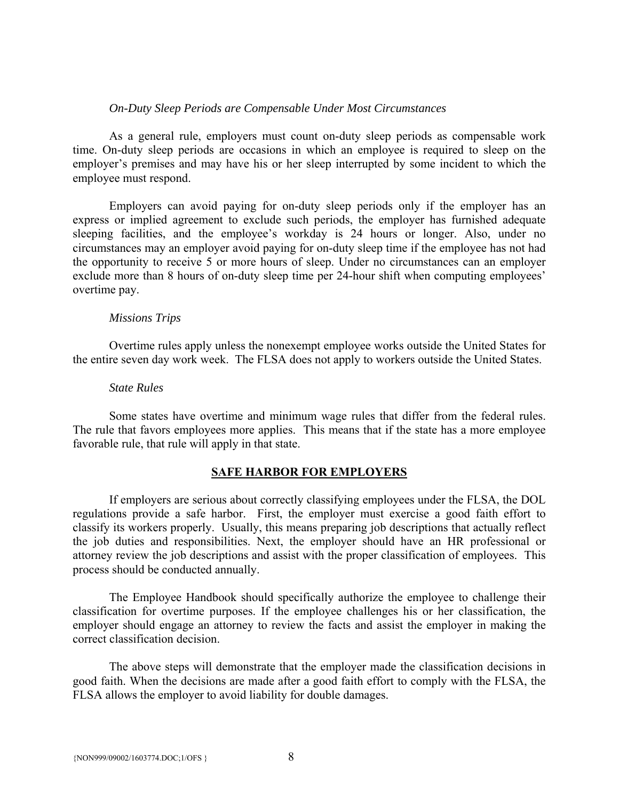#### *On-Duty Sleep Periods are Compensable Under Most Circumstances*

 As a general rule, employers must count on-duty sleep periods as compensable work time. On-duty sleep periods are occasions in which an employee is required to sleep on the employer's premises and may have his or her sleep interrupted by some incident to which the employee must respond.

 Employers can avoid paying for on-duty sleep periods only if the employer has an express or implied agreement to exclude such periods, the employer has furnished adequate sleeping facilities, and the employee's workday is 24 hours or longer. Also, under no circumstances may an employer avoid paying for on-duty sleep time if the employee has not had the opportunity to receive 5 or more hours of sleep. Under no circumstances can an employer exclude more than 8 hours of on-duty sleep time per 24-hour shift when computing employees' overtime pay.

#### *Missions Trips*

 Overtime rules apply unless the nonexempt employee works outside the United States for the entire seven day work week. The FLSA does not apply to workers outside the United States.

#### *State Rules*

 Some states have overtime and minimum wage rules that differ from the federal rules. The rule that favors employees more applies. This means that if the state has a more employee favorable rule, that rule will apply in that state.

#### **SAFE HARBOR FOR EMPLOYERS**

 If employers are serious about correctly classifying employees under the FLSA, the DOL regulations provide a safe harbor. First, the employer must exercise a good faith effort to classify its workers properly. Usually, this means preparing job descriptions that actually reflect the job duties and responsibilities. Next, the employer should have an HR professional or attorney review the job descriptions and assist with the proper classification of employees. This process should be conducted annually.

 The Employee Handbook should specifically authorize the employee to challenge their classification for overtime purposes. If the employee challenges his or her classification, the employer should engage an attorney to review the facts and assist the employer in making the correct classification decision.

 The above steps will demonstrate that the employer made the classification decisions in good faith. When the decisions are made after a good faith effort to comply with the FLSA, the FLSA allows the employer to avoid liability for double damages.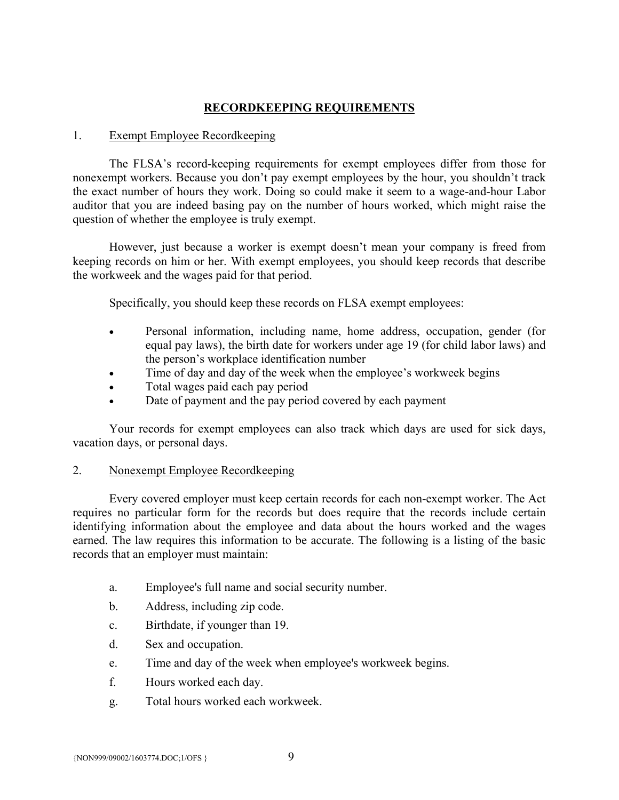# **RECORDKEEPING REQUIREMENTS**

#### 1. Exempt Employee Recordkeeping

 The FLSA's record-keeping requirements for exempt employees differ from those for nonexempt workers. Because you don't pay exempt employees by the hour, you shouldn't track the exact number of hours they work. Doing so could make it seem to a wage-and-hour Labor auditor that you are indeed basing pay on the number of hours worked, which might raise the question of whether the employee is truly exempt.

 However, just because a worker is exempt doesn't mean your company is freed from keeping records on him or her. With exempt employees, you should keep records that describe the workweek and the wages paid for that period.

Specifically, you should keep these records on FLSA exempt employees:

- Personal information, including name, home address, occupation, gender (for equal pay laws), the birth date for workers under age 19 (for child labor laws) and the person's workplace identification number
- Time of day and day of the week when the employee's workweek begins
- Total wages paid each pay period
- Date of payment and the pay period covered by each payment

 Your records for exempt employees can also track which days are used for sick days, vacation days, or personal days.

## 2. Nonexempt Employee Recordkeeping

 Every covered employer must keep certain records for each non-exempt worker. The Act requires no particular form for the records but does require that the records include certain identifying information about the employee and data about the hours worked and the wages earned. The law requires this information to be accurate. The following is a listing of the basic records that an employer must maintain:

- a. Employee's full name and social security number.
- b. Address, including zip code.
- c. Birthdate, if younger than 19.
- d. Sex and occupation.
- e. Time and day of the week when employee's workweek begins.
- f. Hours worked each day.
- g. Total hours worked each workweek.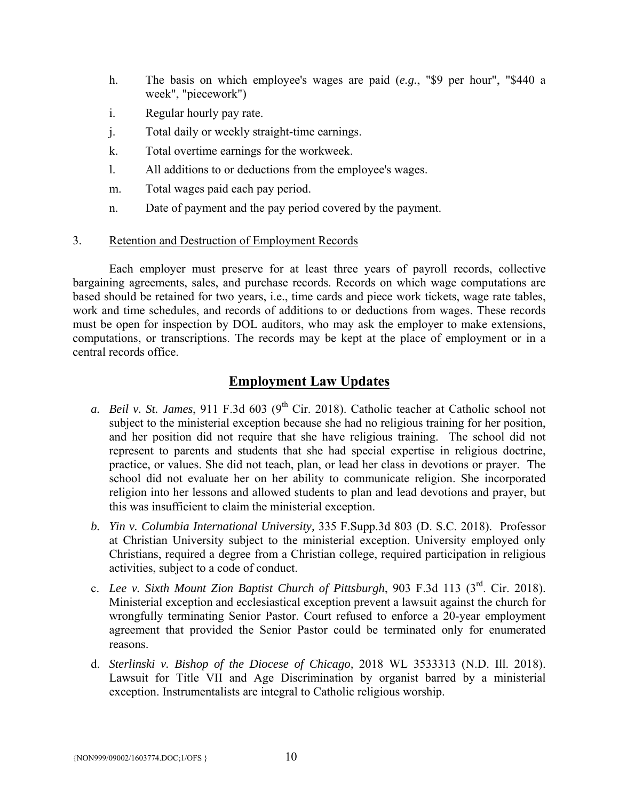- h. The basis on which employee's wages are paid (*e.g.*, "\$9 per hour", "\$440 a week", "piecework")
- i. Regular hourly pay rate.
- j. Total daily or weekly straight-time earnings.
- k. Total overtime earnings for the workweek.
- l. All additions to or deductions from the employee's wages.
- m. Total wages paid each pay period.
- n. Date of payment and the pay period covered by the payment.

#### 3. Retention and Destruction of Employment Records

 Each employer must preserve for at least three years of payroll records, collective bargaining agreements, sales, and purchase records. Records on which wage computations are based should be retained for two years, i.e., time cards and piece work tickets, wage rate tables, work and time schedules, and records of additions to or deductions from wages. These records must be open for inspection by DOL auditors, who may ask the employer to make extensions, computations, or transcriptions. The records may be kept at the place of employment or in a central records office.

# **Employment Law Updates**

- *a. Beil v. St. James*, 911 F.3d 603 (9<sup>th</sup> Cir. 2018). Catholic teacher at Catholic school not subject to the ministerial exception because she had no religious training for her position, and her position did not require that she have religious training. The school did not represent to parents and students that she had special expertise in religious doctrine, practice, or values. She did not teach, plan, or lead her class in devotions or prayer. The school did not evaluate her on her ability to communicate religion. She incorporated religion into her lessons and allowed students to plan and lead devotions and prayer, but this was insufficient to claim the ministerial exception.
- *b. Yin v. Columbia International University,* 335 F.Supp.3d 803 (D. S.C. 2018). Professor at Christian University subject to the ministerial exception. University employed only Christians, required a degree from a Christian college, required participation in religious activities, subject to a code of conduct.
- c. *Lee v. Sixth Mount Zion Baptist Church of Pittsburgh*, 903 F.3d 113 (3rd. Cir. 2018). Ministerial exception and ecclesiastical exception prevent a lawsuit against the church for wrongfully terminating Senior Pastor. Court refused to enforce a 20-year employment agreement that provided the Senior Pastor could be terminated only for enumerated reasons.
- d. *Sterlinski v. Bishop of the Diocese of Chicago,* 2018 WL 3533313 (N.D. Ill. 2018). Lawsuit for Title VII and Age Discrimination by organist barred by a ministerial exception. Instrumentalists are integral to Catholic religious worship.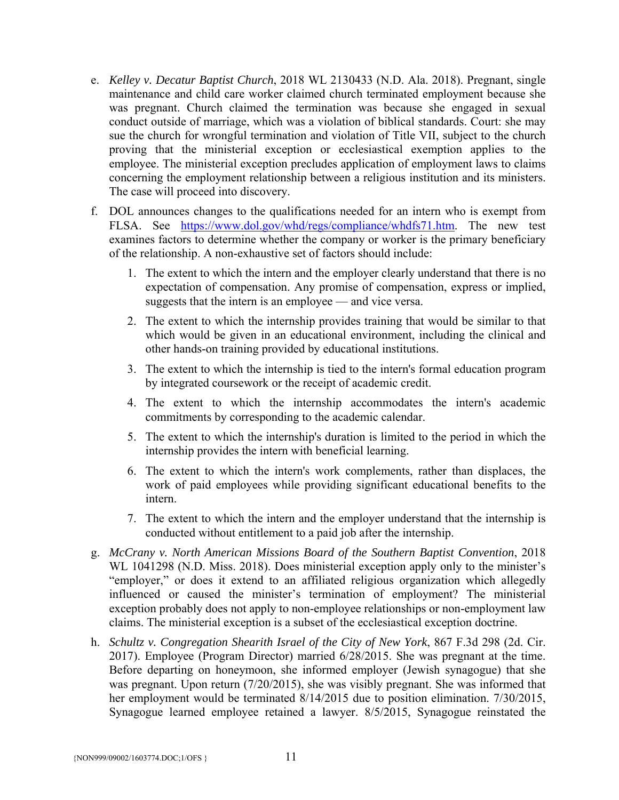- e. *Kelley v. Decatur Baptist Church*, 2018 WL 2130433 (N.D. Ala. 2018). Pregnant, single maintenance and child care worker claimed church terminated employment because she was pregnant. Church claimed the termination was because she engaged in sexual conduct outside of marriage, which was a violation of biblical standards. Court: she may sue the church for wrongful termination and violation of Title VII, subject to the church proving that the ministerial exception or ecclesiastical exemption applies to the employee. The ministerial exception precludes application of employment laws to claims concerning the employment relationship between a religious institution and its ministers. The case will proceed into discovery.
- f. DOL announces changes to the qualifications needed for an intern who is exempt from FLSA. See https://www.dol.gov/whd/regs/compliance/whdfs71.htm. The new test examines factors to determine whether the company or worker is the primary beneficiary of the relationship. A non-exhaustive set of factors should include:
	- 1. The extent to which the intern and the employer clearly understand that there is no expectation of compensation. Any promise of compensation, express or implied, suggests that the intern is an employee — and vice versa.
	- 2. The extent to which the internship provides training that would be similar to that which would be given in an educational environment, including the clinical and other hands-on training provided by educational institutions.
	- 3. The extent to which the internship is tied to the intern's formal education program by integrated coursework or the receipt of academic credit.
	- 4. The extent to which the internship accommodates the intern's academic commitments by corresponding to the academic calendar.
	- 5. The extent to which the internship's duration is limited to the period in which the internship provides the intern with beneficial learning.
	- 6. The extent to which the intern's work complements, rather than displaces, the work of paid employees while providing significant educational benefits to the intern.
	- 7. The extent to which the intern and the employer understand that the internship is conducted without entitlement to a paid job after the internship.
- g. *McCrany v. North American Missions Board of the Southern Baptist Convention*, 2018 WL 1041298 (N.D. Miss. 2018). Does ministerial exception apply only to the minister's "employer," or does it extend to an affiliated religious organization which allegedly influenced or caused the minister's termination of employment? The ministerial exception probably does not apply to non-employee relationships or non-employment law claims. The ministerial exception is a subset of the ecclesiastical exception doctrine.
- h. *Schultz v. Congregation Shearith Israel of the City of New York*, 867 F.3d 298 (2d. Cir. 2017). Employee (Program Director) married 6/28/2015. She was pregnant at the time. Before departing on honeymoon, she informed employer (Jewish synagogue) that she was pregnant. Upon return (7/20/2015), she was visibly pregnant. She was informed that her employment would be terminated 8/14/2015 due to position elimination. 7/30/2015, Synagogue learned employee retained a lawyer. 8/5/2015, Synagogue reinstated the